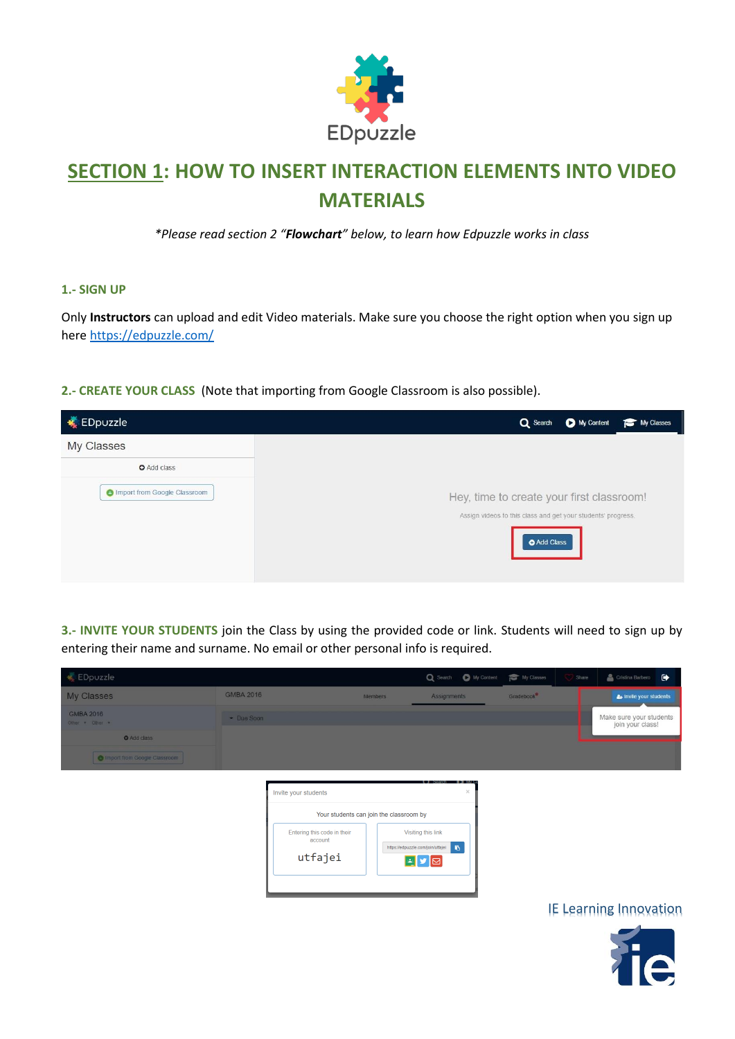

# **SECTION 1: HOW TO INSERT INTERACTION ELEMENTS INTO VIDEO MATERIALS**

*\*Please read section 2 "Flowchart" below, to learn how Edpuzzle works in class*

#### **1.- SIGN UP**

Only **Instructors** can upload and edit Video materials. Make sure you choose the right option when you sign up her[e https://edpuzzle.com/](https://edpuzzle.com/)

#### **2.- CREATE YOUR CLASS** (Note that importing from Google Classroom is also possible).



**3.- INVITE YOUR STUDENTS** join the Class by using the provided code or link. Students will need to sign up by entering their name and surname. No email or other personal info is required.



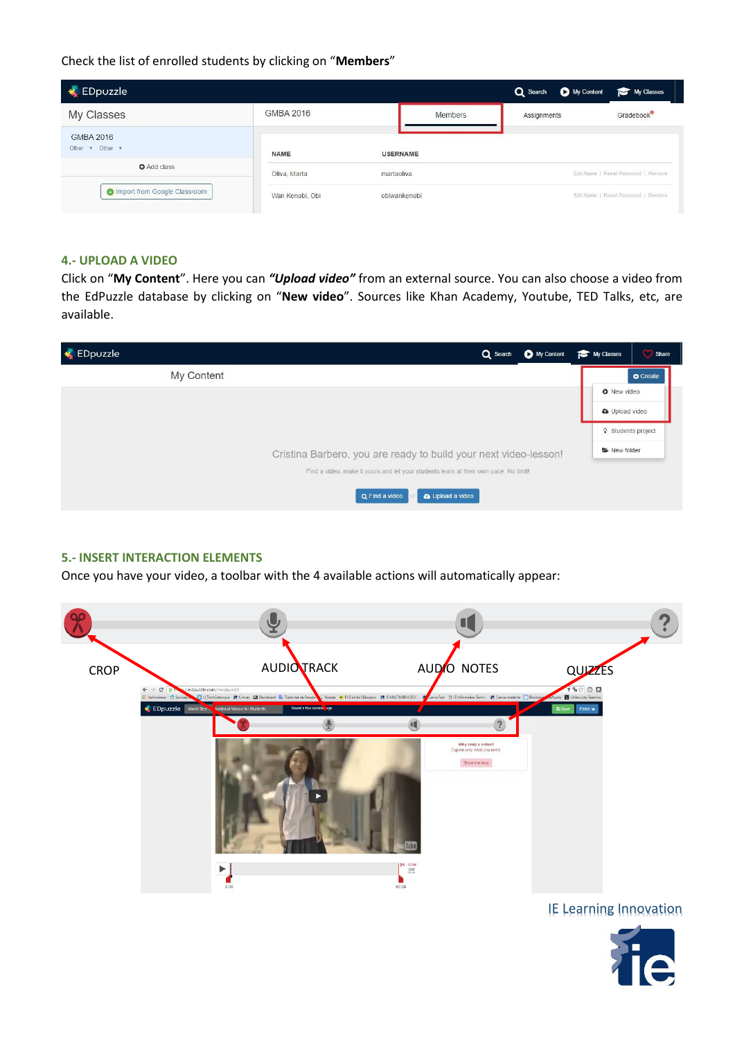Check the list of enrolled students by clicking on "**Members**"

| EDpuzzle                                            |                            |                 |                | My Content<br>Q Search              | My Classes                          |  |
|-----------------------------------------------------|----------------------------|-----------------|----------------|-------------------------------------|-------------------------------------|--|
| My Classes                                          | <b>GMBA 2016</b>           |                 | <b>Members</b> | Assignments                         | Gradebook                           |  |
| <b>GMBA 2016</b><br>Other $\forall$ Other $\forall$ | <b>NAME</b>                | <b>USERNAME</b> |                |                                     |                                     |  |
| <b>O</b> Add class                                  | martaoliva<br>Oliva, Marta |                 |                |                                     | Edit Name   Reset Password   Remove |  |
| <b>Compact from Google Classroom</b>                | Wan Kenobi, Obi            | obiwankenobi    |                | Edit Name   Reset Password   Remove |                                     |  |

#### **4.- UPLOAD A VIDEO**

Click on "**My Content**". Here you can *"Upload video"* from an external source. You can also choose a video from the EdPuzzle database by clicking on "**New video**". Sources like Khan Academy, Youtube, TED Talks, etc, are available.



#### **5.- INSERT INTERACTION ELEMENTS**

Once you have your video, a toolbar with the 4 available actions will automatically appear:



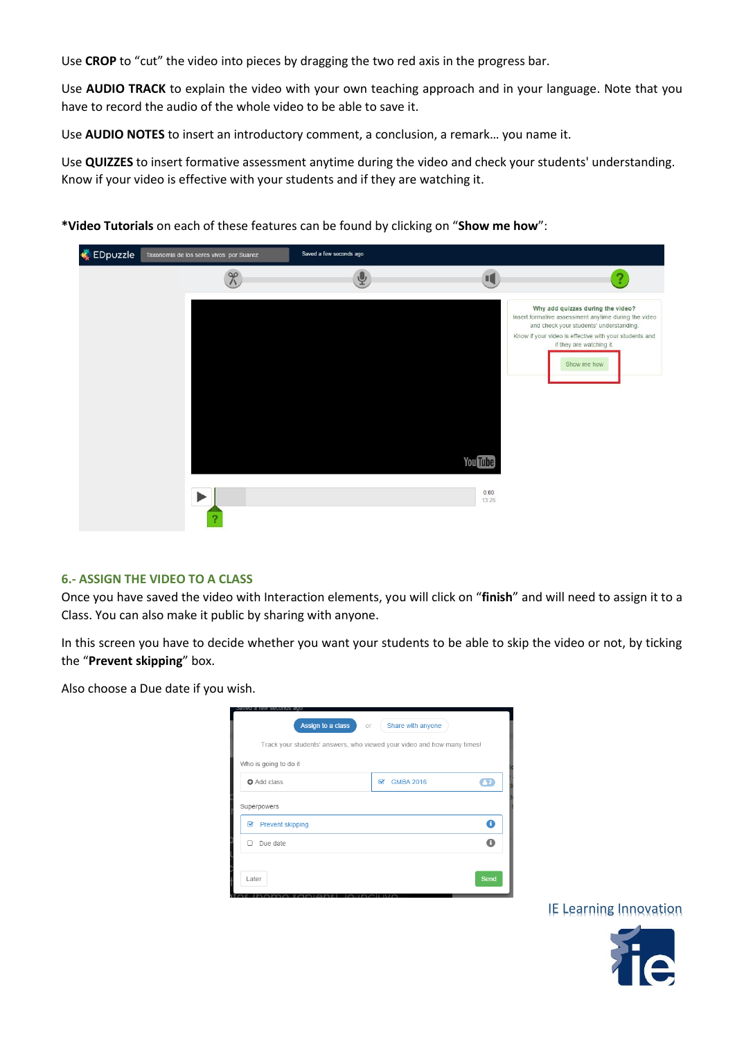Use **CROP** to "cut" the video into pieces by dragging the two red axis in the progress bar.

Use **AUDIO TRACK** to explain the video with your own teaching approach and in your language. Note that you have to record the audio of the whole video to be able to save it.

Use **AUDIO NOTES** to insert an introductory comment, a conclusion, a remark… you name it.

Use **QUIZZES** to insert formative assessment anytime during the video and check your students' understanding. Know if your video is effective with your students and if they are watching it.



**\*Video Tutorials** on each of these features can be found by clicking on "**Show me how**":

#### **6.- ASSIGN THE VIDEO TO A CLASS**

Once you have saved the video with Interaction elements, you will click on "**finish**" and will need to assign it to a Class. You can also make it public by sharing with anyone.

In this screen you have to decide whether you want your students to be able to skip the video or not, by ticking the "**Prevent skipping**" box.

Also choose a Due date if you wish.

| eu a rew securius<br>Assign to a class<br>Оľ                            | Share with anyone                           |              |
|-------------------------------------------------------------------------|---------------------------------------------|--------------|
| Track your students' answers, who viewed your video and how many times! |                                             |              |
| Who is going to do it                                                   |                                             |              |
| <b>O</b> Add class                                                      | <b>GMBA 2016</b><br>$\overline{\mathbf{v}}$ | $\mathbf{A}$ |
| Superpowers<br><b>Prevent skipping</b><br>Ø                             |                                             | A            |
| Due date                                                                |                                             |              |
| Later                                                                   |                                             | Send         |

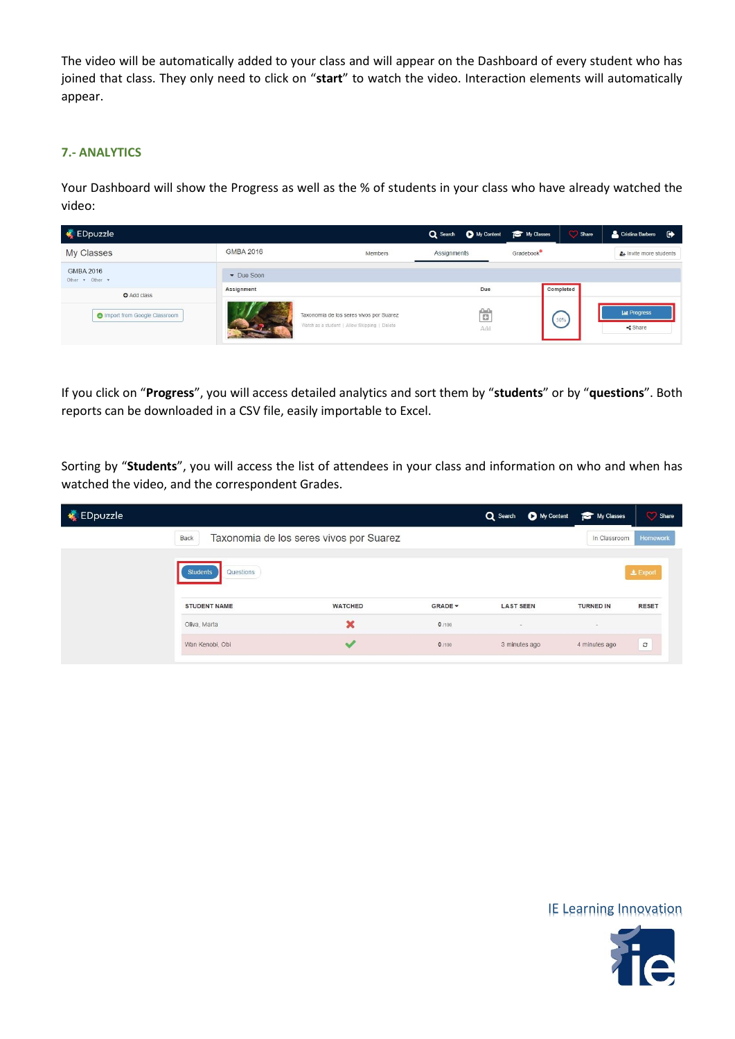The video will be automatically added to your class and will appear on the Dashboard of every student who has joined that class. They only need to click on "**start**" to watch the video. Interaction elements will automatically appear.

#### **7.- ANALYTICS**

Your Dashboard will show the Progress as well as the % of students in your class who have already watched the video:

| <b>EDpuzzle</b>                                             |                  |                                                                                         | Q Search C My Content The My Classes |           | Share     | Cristina Barbero<br>$\bullet$       |
|-------------------------------------------------------------|------------------|-----------------------------------------------------------------------------------------|--------------------------------------|-----------|-----------|-------------------------------------|
| My Classes                                                  | <b>GMBA 2016</b> | Members                                                                                 | Assignments                          | Gradebook |           | 4+ Invite more students             |
| GMBA 2016<br>Other <b>v</b> Other <b>v</b>                  | • Due Soon       |                                                                                         | Due                                  |           | Completed |                                     |
| <b>O</b> Add class<br><b>C</b> Import from Google Classroom | Assignment       | Taxonomia de los seres vivos por Suarez<br>Watch as a student   Allow Skipping   Delete | ö<br>Add                             |           | 50%       | <b>ILL</b> Progress<br>$\leq$ Share |

If you click on "**Progress**", you will access detailed analytics and sort them by "**students**" or by "**questions**". Both reports can be downloaded in a CSV file, easily importable to Excel.

Sorting by "**Students**", you will access the list of attendees in your class and information on who and when has watched the video, and the correspondent Grades.

| $\bigstar$ EDpuzzle |                                                                                        |                                                             |                           | Q Search                               | My Content | My Classes                                  | Share                         |
|---------------------|----------------------------------------------------------------------------------------|-------------------------------------------------------------|---------------------------|----------------------------------------|------------|---------------------------------------------|-------------------------------|
|                     | Taxonomia de los seres vivos por Suarez<br><b>Back</b>                                 |                                                             |                           |                                        |            | In Classroom                                | <b>Homework</b>               |
|                     | Questions<br><b>Students</b><br><b>STUDENT NAME</b><br>Oliva, Marta<br>Wan Kenobi, Obi | <b>WATCHED</b><br>$\boldsymbol{\mathsf{x}}$<br>$\checkmark$ | GRADE -<br>0/100<br>0/100 | <b>LAST SEEN</b><br>٠<br>3 minutes ago |            | <b>TURNED IN</b><br>$\sim$<br>4 minutes ago | 上 Export<br><b>RESET</b><br>c |

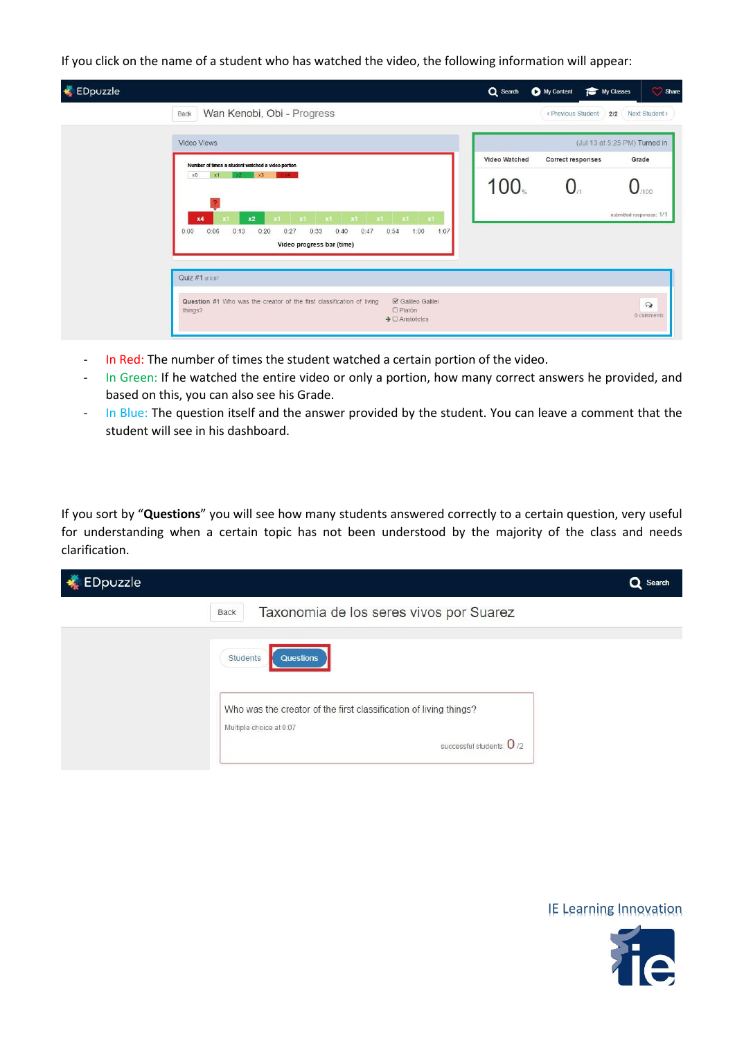If you click on the name of a student who has watched the video, the following information will appear:

| <b>EDpuzzle</b> |                                                                                                                                                                                   | Q Search      | My Content         | Share<br>My Classes           |
|-----------------|-----------------------------------------------------------------------------------------------------------------------------------------------------------------------------------|---------------|--------------------|-------------------------------|
|                 | Wan Kenobi, Obi - Progress<br>Back                                                                                                                                                |               | < Previous Student | Next Student ><br>2/2         |
|                 | Video Views                                                                                                                                                                       |               |                    | (Jul 13 at 5:25 PM) Turned in |
|                 | Number of times a student watched a video portion                                                                                                                                 | Video Watched | Correct responses  | Grade                         |
|                 | x3<br>$\times 0$<br>x1<br>x2.<br>$2 \times 4$                                                                                                                                     | 100.          |                    |                               |
|                 | $\mathbf{x}$<br>$x1$ $x1$ $x1$<br>x2<br>x1<br>x1<br>x1<br>x4<br>0:06<br>0:40<br>0:47<br>0:00<br>0:20<br>0:27<br>0:33<br>0:54<br>1:00<br>1:07<br>0:13<br>Video progress bar (time) |               |                    | submitted responses: 1/1      |
|                 | Quiz #1 at 0:07                                                                                                                                                                   |               |                    |                               |
|                 | Question #1 Who was the creator of the first classification of living<br><b>☑</b> Galileo Galilei<br>things?<br>O Platón<br>$\rightarrow$ $\Box$ Aristóteles                      |               |                    | $\Omega$<br>0 comments        |

- In Red: The number of times the student watched a certain portion of the video.
- In Green: If he watched the entire video or only a portion, how many correct answers he provided, and based on this, you can also see his Grade.
- In Blue: The question itself and the answer provided by the student. You can leave a comment that the student will see in his dashboard.

If you sort by "**Questions**" you will see how many students answered correctly to a certain question, very useful for understanding when a certain topic has not been understood by the majority of the class and needs clarification.

| EDpuzzle<br>阈 |                                                                                                                                                     | Q Search |
|---------------|-----------------------------------------------------------------------------------------------------------------------------------------------------|----------|
|               | Taxonomia de los seres vivos por Suarez<br>Back                                                                                                     |          |
|               | Students<br>Questions<br>Who was the creator of the first classification of living things?<br>Multiple choice at 0:07<br>successful students: $0/2$ |          |